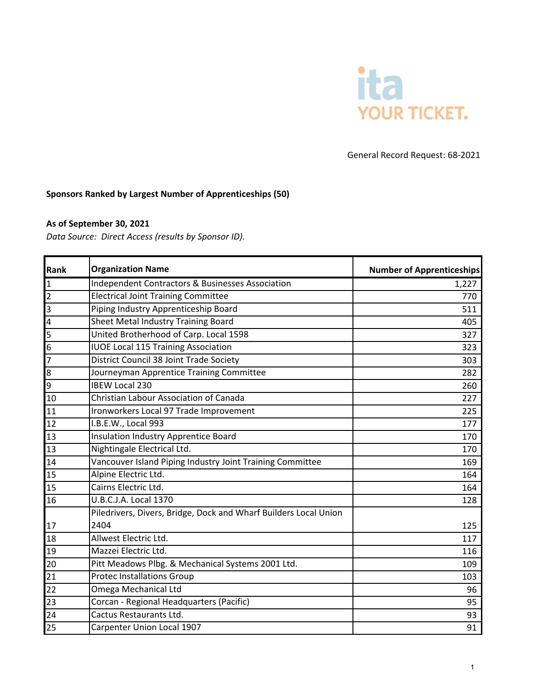

## General Record Request: 68-2021

### **Sponsors Ranked by Largest Number of Apprenticeships (50)**

## **As of September 30, 2021**

*Data Source: Direct Access (results by Sponsor ID).*

| Rank                    | <b>Organization Name</b>                                                 | <b>Number of Apprenticeships</b> |
|-------------------------|--------------------------------------------------------------------------|----------------------------------|
| 1                       | Independent Contractors & Businesses Association                         | 1,227                            |
| $\overline{2}$          | <b>Electrical Joint Training Committee</b>                               | 770                              |
| $\overline{3}$          | Piping Industry Apprenticeship Board                                     | 511                              |
| $\overline{\mathbf{4}}$ | Sheet Metal Industry Training Board                                      | 405                              |
| 5                       | United Brotherhood of Carp. Local 1598                                   | 327                              |
| 6                       | <b>IUOE Local 115 Training Association</b>                               | 323                              |
| 7                       | District Council 38 Joint Trade Society                                  | 303                              |
| 8                       | Journeyman Apprentice Training Committee                                 | 282                              |
| 9                       | <b>IBEW Local 230</b>                                                    | 260                              |
| 10                      | <b>Christian Labour Association of Canada</b>                            | 227                              |
| 11                      | Ironworkers Local 97 Trade Improvement                                   | 225                              |
| 12                      | I.B.E.W., Local 993                                                      | 177                              |
| 13                      | Insulation Industry Apprentice Board                                     | 170                              |
| 13                      | Nightingale Electrical Ltd.                                              | 170                              |
| 14                      | Vancouver Island Piping Industry Joint Training Committee                | 169                              |
| 15                      | Alpine Electric Ltd.                                                     | 164                              |
| 15                      | Cairns Electric Ltd.                                                     | 164                              |
| 16                      | U.B.C.J.A. Local 1370                                                    | 128                              |
| 17                      | Piledrivers, Divers, Bridge, Dock and Wharf Builders Local Union<br>2404 | 125                              |
| 18                      | Allwest Electric Ltd.                                                    | 117                              |
| 19                      | Mazzei Electric Ltd.                                                     | 116                              |
| 20                      | Pitt Meadows Plbg. & Mechanical Systems 2001 Ltd.                        | 109                              |
| 21                      | <b>Protec Installations Group</b>                                        | 103                              |
| 22                      | Omega Mechanical Ltd                                                     | 96                               |
| 23                      | Corcan - Regional Headquarters (Pacific)                                 | 95                               |
| 24                      | Cactus Restaurants Ltd.                                                  | 93                               |
| 25                      | Carpenter Union Local 1907                                               | 91                               |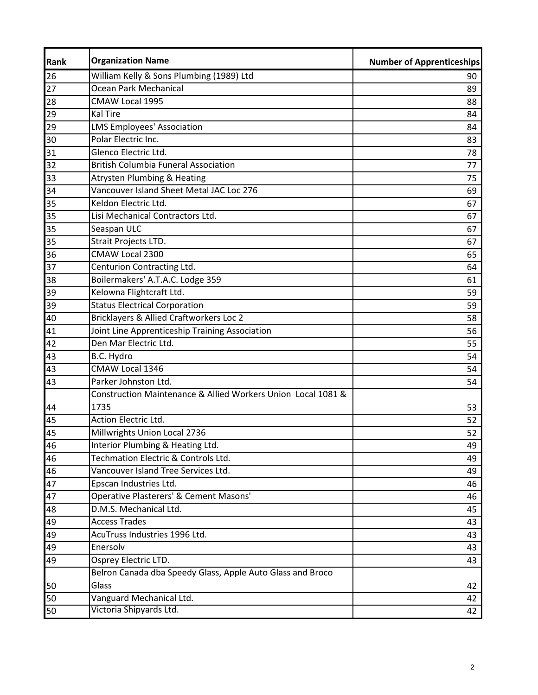| Rank | <b>Organization Name</b>                                     | <b>Number of Apprenticeships</b> |
|------|--------------------------------------------------------------|----------------------------------|
| 26   | William Kelly & Sons Plumbing (1989) Ltd                     | 90                               |
| 27   | Ocean Park Mechanical                                        | 89                               |
| 28   | CMAW Local 1995                                              | 88                               |
| 29   | <b>Kal Tire</b>                                              | 84                               |
| 29   | <b>LMS Employees' Association</b>                            | 84                               |
| 30   | Polar Electric Inc.                                          | 83                               |
| 31   | Glenco Electric Ltd.                                         | 78                               |
| 32   | <b>British Columbia Funeral Association</b>                  | 77                               |
| 33   | <b>Atrysten Plumbing &amp; Heating</b>                       | 75                               |
| 34   | Vancouver Island Sheet Metal JAC Loc 276                     | 69                               |
| 35   | Keldon Electric Ltd.                                         | 67                               |
| 35   | Lisi Mechanical Contractors Ltd.                             | 67                               |
| 35   | Seaspan ULC                                                  | 67                               |
| 35   | Strait Projects LTD.                                         | 67                               |
| 36   | CMAW Local 2300                                              | 65                               |
| 37   | Centurion Contracting Ltd.                                   | 64                               |
| 38   | Boilermakers' A.T.A.C. Lodge 359                             | 61                               |
| 39   | Kelowna Flightcraft Ltd.                                     | 59                               |
| 39   | <b>Status Electrical Corporation</b>                         | 59                               |
| 40   | Bricklayers & Allied Craftworkers Loc 2                      | 58                               |
| 41   | Joint Line Apprenticeship Training Association               | 56                               |
| 42   | Den Mar Electric Ltd.                                        | 55                               |
| 43   | B.C. Hydro                                                   | 54                               |
| 43   | CMAW Local 1346                                              | 54                               |
| 43   | Parker Johnston Ltd.                                         | 54                               |
|      | Construction Maintenance & Allied Workers Union Local 1081 & |                                  |
| 44   | 1735                                                         | 53                               |
| 45   | <b>Action Electric Ltd.</b>                                  | 52                               |
| 45   | Millwrights Union Local 2736                                 | 52                               |
| 46   | Interior Plumbing & Heating Ltd.                             | 49                               |
| 46   | Techmation Electric & Controls Ltd.                          | 49                               |
| 46   | Vancouver Island Tree Services Ltd.                          | 49                               |
| 47   | Epscan Industries Ltd.                                       | 46                               |
| 47   | Operative Plasterers' & Cement Masons'                       | 46                               |
| 48   | D.M.S. Mechanical Ltd.                                       | 45                               |
| 49   | <b>Access Trades</b>                                         | 43                               |
| 49   | AcuTruss Industries 1996 Ltd.                                | 43                               |
| 49   | Enersolv                                                     | 43                               |
| 49   | Osprey Electric LTD.                                         | 43                               |
|      | Belron Canada dba Speedy Glass, Apple Auto Glass and Broco   |                                  |
| 50   | Glass                                                        | 42                               |
| 50   | Vanguard Mechanical Ltd.                                     | 42                               |
| 50   | Victoria Shipyards Ltd.                                      | 42                               |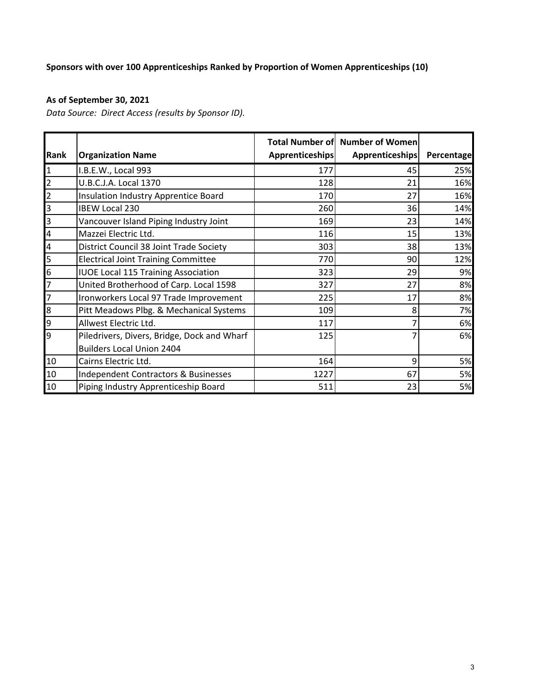# **Sponsors with over 100 Apprenticeships Ranked by Proportion of Women Apprenticeships (10)**

# **As of September 30, 2021**

*Data Source: Direct Access (results by Sponsor ID).*

| Rank                    | <b>Organization Name</b>                        | <b>Apprenticeships</b> | <b>Total Number of Number of Women</b><br><b>Apprenticeships</b> | Percentage |
|-------------------------|-------------------------------------------------|------------------------|------------------------------------------------------------------|------------|
|                         |                                                 |                        |                                                                  |            |
| $\mathbf{1}$            | I.B.E.W., Local 993                             | 177                    | 45                                                               | 25%        |
| $\overline{\mathbf{c}}$ | U.B.C.J.A. Local 1370                           | 128                    | 21                                                               | 16%        |
| $\overline{2}$          | Insulation Industry Apprentice Board            | 170                    | 27                                                               | 16%        |
| 3                       | <b>IBEW Local 230</b>                           | 260                    | 36                                                               | 14%        |
| 3                       | Vancouver Island Piping Industry Joint          | 169                    | 23                                                               | 14%        |
| $\overline{\mathbf{4}}$ | Mazzei Electric Ltd.                            | 116                    | 15                                                               | 13%        |
| $\overline{a}$          | District Council 38 Joint Trade Society         | 303                    | 38                                                               | 13%        |
| $\overline{5}$          | <b>Electrical Joint Training Committee</b>      | 770                    | 90                                                               | 12%        |
| 6                       | <b>IUOE Local 115 Training Association</b>      | 323                    | 29                                                               | 9%         |
| 7                       | United Brotherhood of Carp. Local 1598          | 327                    | 27                                                               | 8%         |
| $\overline{7}$          | Ironworkers Local 97 Trade Improvement          | 225                    | 17                                                               | 8%         |
| 8                       | Pitt Meadows Plbg. & Mechanical Systems         | 109                    | 8                                                                | 7%         |
| 9                       | Allwest Electric Ltd.                           | 117                    |                                                                  | 6%         |
| 9                       | Piledrivers, Divers, Bridge, Dock and Wharf     | 125                    |                                                                  | 6%         |
|                         | <b>Builders Local Union 2404</b>                |                        |                                                                  |            |
| 10                      | Cairns Electric Ltd.                            | 164                    | 9                                                                | 5%         |
| 10                      | <b>Independent Contractors &amp; Businesses</b> | 1227                   | 67                                                               | 5%         |
| 10                      | Piping Industry Apprenticeship Board            | 511                    | 23                                                               | 5%         |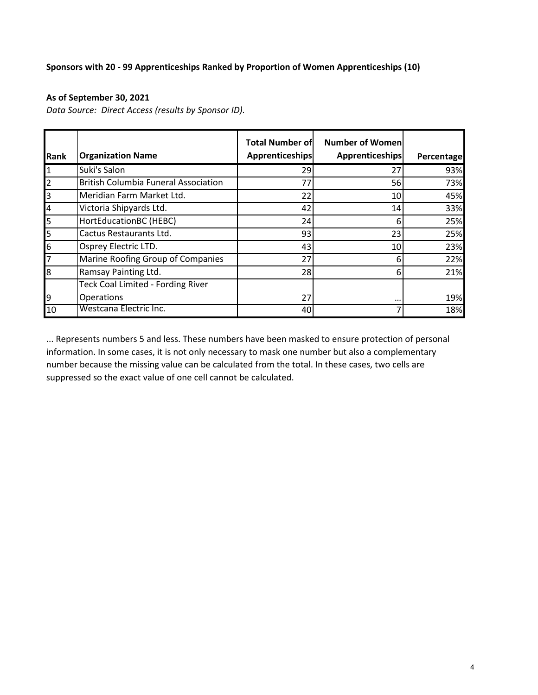### **Sponsors with 20 - 99 Apprenticeships Ranked by Proportion of Women Apprenticeships (10)**

#### **As of September 30, 2021**

*Data Source: Direct Access (results by Sponsor ID).*

| Rank           | <b>Organization Name</b>                    | <b>Total Number of</b><br><b>Apprenticeships</b> | <b>Number of Women</b><br>Apprenticeships | Percentage |
|----------------|---------------------------------------------|--------------------------------------------------|-------------------------------------------|------------|
| $\mathbf{1}$   | Suki's Salon                                | 29                                               | 27                                        | 93%        |
| $\overline{2}$ | <b>British Columbia Funeral Association</b> | 77                                               | 56                                        | 73%        |
| $\overline{3}$ | Meridian Farm Market Ltd.                   | 22                                               | 10                                        | 45%        |
| 4              | Victoria Shipyards Ltd.                     | 42                                               | 14                                        | 33%        |
| 5              | HortEducationBC (HEBC)                      | 24                                               | 6                                         | 25%        |
| 5              | Cactus Restaurants Ltd.                     | 93                                               | 23                                        | 25%        |
| 6              | Osprey Electric LTD.                        | 43                                               | 10                                        | 23%        |
| 7              | Marine Roofing Group of Companies           | 27                                               | 6                                         | 22%        |
| 8              | Ramsay Painting Ltd.                        | 28                                               | 6                                         | 21%        |
|                | Teck Coal Limited - Fording River           |                                                  |                                           |            |
| 9              | <b>Operations</b>                           | 27                                               | $\cdots$                                  | 19%        |
| 10             | Westcana Electric Inc.                      | 40                                               |                                           | 18%        |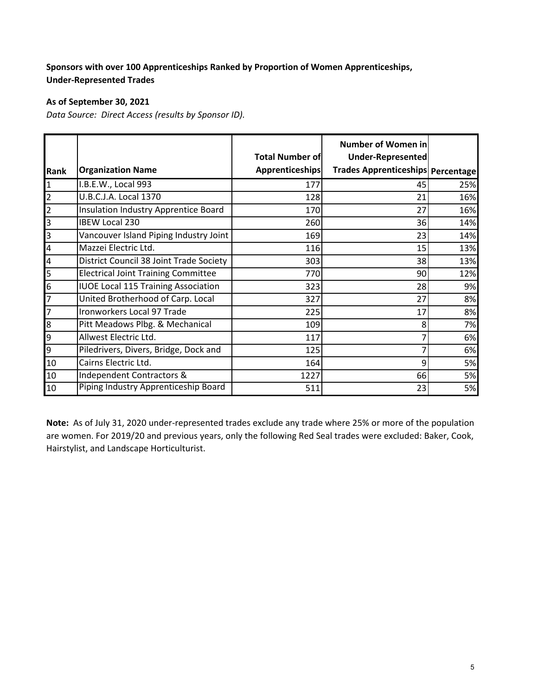## **Sponsors with over 100 Apprenticeships Ranked by Proportion of Women Apprenticeships, Under-Represented Trades**

### **As of September 30, 2021**

*Data Source: Direct Access (results by Sponsor ID).*

|                          |                                            | <b>Total Number of</b> | <b>Number of Women in</b><br>Under-Represented |     |
|--------------------------|--------------------------------------------|------------------------|------------------------------------------------|-----|
| <b>Rank</b>              | <b>Organization Name</b>                   | <b>Apprenticeships</b> | Trades Apprenticeships Percentage              |     |
| $\mathbf 1$              | I.B.E.W., Local 993                        | 177                    | 45                                             | 25% |
| $\overline{2}$           | U.B.C.J.A. Local 1370                      | 128                    | 21                                             | 16% |
| $\overline{c}$           | Insulation Industry Apprentice Board       | 170                    | 27                                             | 16% |
| 3                        | <b>IBEW Local 230</b>                      | 260                    | 36                                             | 14% |
| m                        | Vancouver Island Piping Industry Joint     | 169                    | 23                                             | 14% |
| $\overline{\mathcal{A}}$ | Mazzei Electric Ltd.                       | 116                    | 15                                             | 13% |
| $\overline{a}$           | District Council 38 Joint Trade Society    | 303                    | 38                                             | 13% |
| 5                        | <b>Electrical Joint Training Committee</b> | 770                    | 90                                             | 12% |
| $6\overline{6}$          | <b>IUOE Local 115 Training Association</b> | 323                    | 28                                             | 9%  |
| 7                        | United Brotherhood of Carp. Local          | 327                    | 27                                             | 8%  |
| $\overline{7}$           | Ironworkers Local 97 Trade                 | 225                    | 17                                             | 8%  |
| 8                        | Pitt Meadows Plbg. & Mechanical            | 109                    | 8                                              | 7%  |
| 9                        | Allwest Electric Ltd.                      | 117                    |                                                | 6%  |
| 9                        | Piledrivers, Divers, Bridge, Dock and      | 125                    |                                                | 6%  |
| 10                       | Cairns Electric Ltd.                       | 164                    | 9                                              | 5%  |
| 10                       | Independent Contractors &                  | 1227                   | 66                                             | 5%  |
| 10                       | Piping Industry Apprenticeship Board       | 511                    | 23                                             | 5%  |

**Note:** As of July 31, 2020 under-represented trades exclude any trade where 25% or more of the population are women. For 2019/20 and previous years, only the following Red Seal trades were excluded: Baker, Cook, Hairstylist, and Landscape Horticulturist.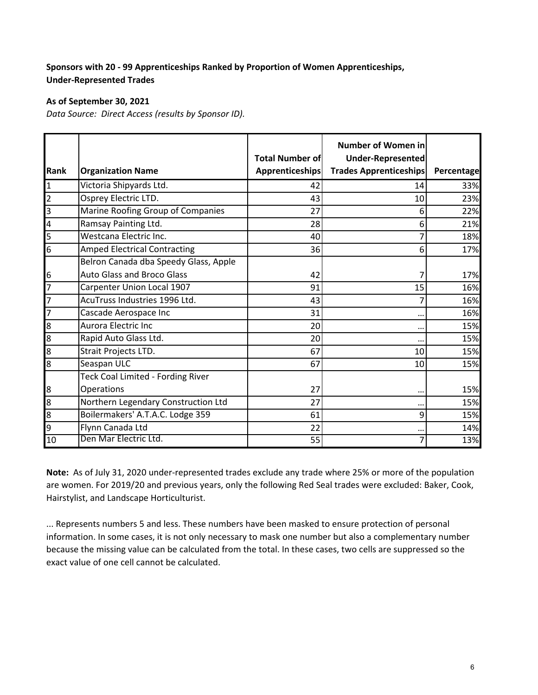## **Sponsors with 20 - 99 Apprenticeships Ranked by Proportion of Women Apprenticeships, Under-Represented Trades**

### **As of September 30, 2021**

*Data Source: Direct Access (results by Sponsor ID).*

|                         |                                          | <b>Total Number of</b> | <b>Number of Women in</b><br><b>Under-Represented</b> |            |
|-------------------------|------------------------------------------|------------------------|-------------------------------------------------------|------------|
| Rank                    | <b>Organization Name</b>                 | Apprenticeships        | <b>Trades Apprenticeships</b>                         | Percentage |
| $\mathbf{1}$            | Victoria Shipyards Ltd.                  | 42                     | 14                                                    | 33%        |
| $\overline{\mathbf{c}}$ | Osprey Electric LTD.                     | 43                     | 10                                                    | 23%        |
| $\overline{3}$          | Marine Roofing Group of Companies        | 27                     | 6                                                     | 22%        |
| 4                       | Ramsay Painting Ltd.                     | 28                     | 6                                                     | 21%        |
| 5                       | Westcana Electric Inc.                   | 40                     | 7                                                     | 18%        |
| 6                       | <b>Amped Electrical Contracting</b>      | 36                     | 6                                                     | 17%        |
|                         | Belron Canada dba Speedy Glass, Apple    |                        |                                                       |            |
| 6                       | <b>Auto Glass and Broco Glass</b>        | 42                     |                                                       | 17%        |
| $\overline{7}$          | Carpenter Union Local 1907               | 91                     | 15                                                    | 16%        |
| $\overline{z}$          | AcuTruss Industries 1996 Ltd.            | 43                     | 7                                                     | 16%        |
| 7                       | Cascade Aerospace Inc                    | 31                     | $\cdots$                                              | 16%        |
| 8                       | <b>Aurora Electric Inc</b>               | 20                     | $\cdots$                                              | 15%        |
| 8                       | Rapid Auto Glass Ltd.                    | 20                     | $\ddotsc$                                             | 15%        |
| 8                       | Strait Projects LTD.                     | 67                     | 10                                                    | 15%        |
| 8                       | Seaspan ULC                              | 67                     | 10                                                    | 15%        |
|                         | <b>Teck Coal Limited - Fording River</b> |                        |                                                       |            |
| 8                       | Operations                               | 27                     | $\ddotsc$                                             | 15%        |
| 8                       | Northern Legendary Construction Ltd      | 27                     | $\cdot$ .                                             | 15%        |
| 8                       | Boilermakers' A.T.A.C. Lodge 359         | 61                     | 9                                                     | 15%        |
| 9                       | Flynn Canada Ltd                         | 22                     | $\cdot$ .                                             | 14%        |
| 10                      | Den Mar Electric Ltd.                    | 55                     | 7                                                     | 13%        |

**Note:** As of July 31, 2020 under-represented trades exclude any trade where 25% or more of the population are women. For 2019/20 and previous years, only the following Red Seal trades were excluded: Baker, Cook, Hairstylist, and Landscape Horticulturist.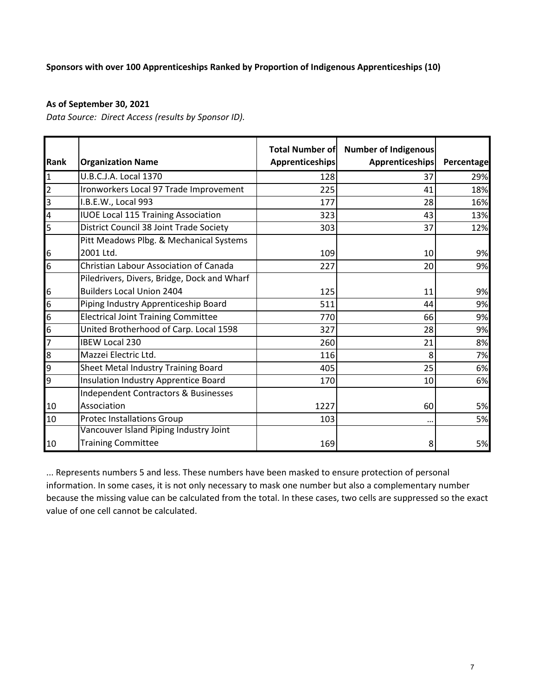### **Sponsors with over 100 Apprenticeships Ranked by Proportion of Indigenous Apprenticeships (10)**

#### **As of September 30, 2021**

*Data Source: Direct Access (results by Sponsor ID).*

|                         |                                               |                        | Total Number of Number of Indigenous |            |
|-------------------------|-----------------------------------------------|------------------------|--------------------------------------|------------|
| Rank                    | <b>Organization Name</b>                      | <b>Apprenticeships</b> | <b>Apprenticeships</b>               | Percentage |
| $\mathbf{1}$            | U.B.C.J.A. Local 1370                         | 128                    | 37                                   | 29%        |
| $\overline{2}$          | Ironworkers Local 97 Trade Improvement        | 225                    | 41                                   | 18%        |
| 3                       | I.B.E.W., Local 993                           | 177                    | 28                                   | 16%        |
| $\overline{\mathbf{4}}$ | <b>IUOE Local 115 Training Association</b>    | 323                    | 43                                   | 13%        |
| 5                       | District Council 38 Joint Trade Society       | 303                    | 37                                   | 12%        |
|                         | Pitt Meadows Plbg. & Mechanical Systems       |                        |                                      |            |
| 6                       | 2001 Ltd.                                     | 109                    | 10                                   | 9%         |
| 6                       | <b>Christian Labour Association of Canada</b> | 227                    | 20                                   | 9%         |
|                         | Piledrivers, Divers, Bridge, Dock and Wharf   |                        |                                      |            |
| 6                       | <b>Builders Local Union 2404</b>              | 125                    | 11                                   | 9%         |
| $6\overline{6}$         | Piping Industry Apprenticeship Board          | 511                    | 44                                   | 9%         |
| 6                       | <b>Electrical Joint Training Committee</b>    | 770                    | 66                                   | 9%         |
| $6\overline{6}$         | United Brotherhood of Carp. Local 1598        | 327                    | 28                                   | 9%         |
| 7                       | <b>IBEW Local 230</b>                         | 260                    | 21                                   | 8%         |
| 8                       | Mazzei Electric Ltd.                          | 116                    | 8                                    | 7%         |
| 9                       | Sheet Metal Industry Training Board           | 405                    | 25                                   | 6%         |
| 9                       | Insulation Industry Apprentice Board          | 170                    | 10                                   | 6%         |
|                         | Independent Contractors & Businesses          |                        |                                      |            |
| 10                      | Association                                   | 1227                   | 60                                   | 5%         |
| 10                      | <b>Protec Installations Group</b>             | 103                    | $\ddotsc$                            | 5%         |
|                         | Vancouver Island Piping Industry Joint        |                        |                                      |            |
| 10                      | <b>Training Committee</b>                     | 169                    | 8                                    | 5%         |